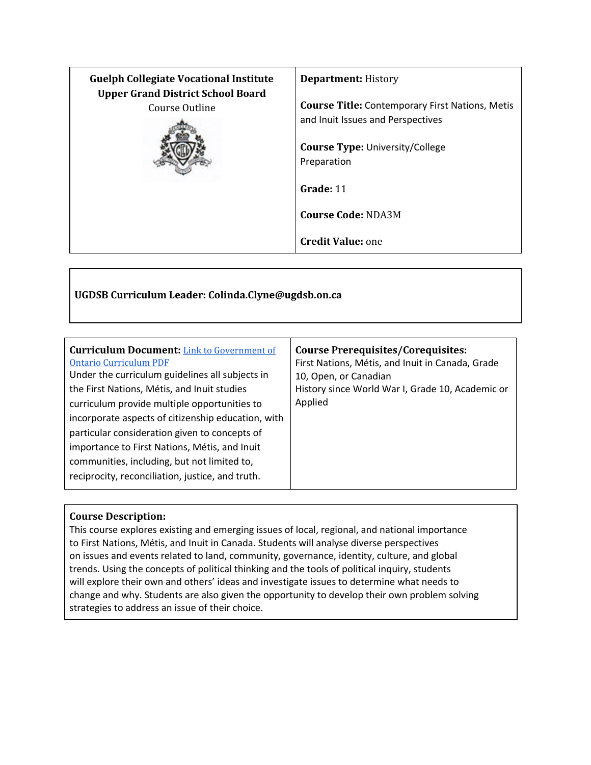| <b>Guelph Collegiate Vocational Institute</b><br><b>Upper Grand District School Board</b> | <b>Department: History</b>                             |
|-------------------------------------------------------------------------------------------|--------------------------------------------------------|
| Course Outline                                                                            | <b>Course Title: Contemporary First Nations, Metis</b> |
|                                                                                           | and Inuit Issues and Perspectives                      |
|                                                                                           | <b>Course Type: University/College</b>                 |
|                                                                                           | Preparation                                            |
|                                                                                           | Grade: 11                                              |
|                                                                                           | <b>Course Code: NDA3M</b>                              |
|                                                                                           | <b>Credit Value: one</b>                               |

# **UGDSB Curriculum Leader: Colinda.Clyne@ugdsb.on.ca**

| <b>Curriculum Document:</b> Link to Government of<br><b>Ontario Curriculum PDF</b><br>Under the curriculum guidelines all subjects in<br>the First Nations, Métis, and Inuit studies<br>curriculum provide multiple opportunities to<br>incorporate aspects of citizenship education, with<br>particular consideration given to concepts of<br>importance to First Nations, Métis, and Inuit<br>communities, including, but not limited to,<br>reciprocity, reconciliation, justice, and truth. | <b>Course Prerequisites/Corequisites:</b><br>First Nations, Métis, and Inuit in Canada, Grade<br>10, Open, or Canadian<br>History since World War I, Grade 10, Academic or<br>Applied |
|-------------------------------------------------------------------------------------------------------------------------------------------------------------------------------------------------------------------------------------------------------------------------------------------------------------------------------------------------------------------------------------------------------------------------------------------------------------------------------------------------|---------------------------------------------------------------------------------------------------------------------------------------------------------------------------------------|
|-------------------------------------------------------------------------------------------------------------------------------------------------------------------------------------------------------------------------------------------------------------------------------------------------------------------------------------------------------------------------------------------------------------------------------------------------------------------------------------------------|---------------------------------------------------------------------------------------------------------------------------------------------------------------------------------------|

# **Course Description:**

This course explores existing and emerging issues of local, regional, and national importance to First Nations, Métis, and Inuit in Canada. Students will analyse diverse perspectives on issues and events related to land, community, governance, identity, culture, and global trends. Using the concepts of political thinking and the tools of political inquiry, students will explore their own and others' ideas and investigate issues to determine what needs to change and why. Students are also given the opportunity to develop their own problem solving strategies to address an issue of their choice.